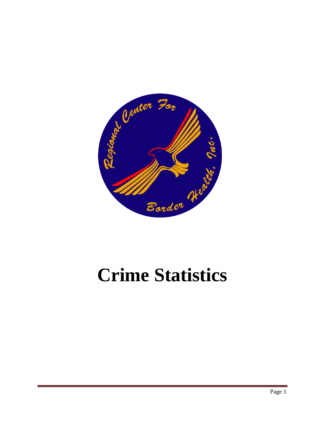

## **Crime Statistics**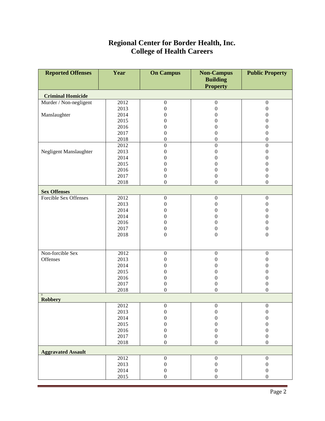## **Regional Center for Border Health, Inc. College of Health Careers**

| <b>Reported Offenses</b>           | Year | <b>On Campus</b> | <b>Non-Campus</b> | <b>Public Property</b> |  |  |  |  |
|------------------------------------|------|------------------|-------------------|------------------------|--|--|--|--|
|                                    |      |                  | <b>Building</b>   |                        |  |  |  |  |
|                                    |      |                  | <b>Property</b>   |                        |  |  |  |  |
| <b>Criminal Homicide</b>           |      |                  |                   |                        |  |  |  |  |
| Murder / Non-negligent             | 2012 | $\boldsymbol{0}$ | $\boldsymbol{0}$  | $\boldsymbol{0}$       |  |  |  |  |
|                                    | 2013 | $\boldsymbol{0}$ | $\boldsymbol{0}$  | $\boldsymbol{0}$       |  |  |  |  |
| Manslaughter                       | 2014 | $\mathbf{0}$     | $\mathbf{0}$      | $\boldsymbol{0}$       |  |  |  |  |
|                                    | 2015 | $\boldsymbol{0}$ | $\overline{0}$    | $\boldsymbol{0}$       |  |  |  |  |
|                                    | 2016 | $\boldsymbol{0}$ | $\mathbf{0}$      | $\boldsymbol{0}$       |  |  |  |  |
|                                    | 2017 | $\boldsymbol{0}$ | $\boldsymbol{0}$  | $\boldsymbol{0}$       |  |  |  |  |
|                                    | 2018 | $\boldsymbol{0}$ | $\boldsymbol{0}$  | $\boldsymbol{0}$       |  |  |  |  |
|                                    | 2012 | $\boldsymbol{0}$ | $\boldsymbol{0}$  | $\boldsymbol{0}$       |  |  |  |  |
| Negligent Manslaughter             | 2013 | $\boldsymbol{0}$ | $\boldsymbol{0}$  | $\boldsymbol{0}$       |  |  |  |  |
|                                    | 2014 | $\mathbf{0}$     | $\overline{0}$    | $\boldsymbol{0}$       |  |  |  |  |
|                                    | 2015 | $\mathbf{0}$     | $\boldsymbol{0}$  | $\boldsymbol{0}$       |  |  |  |  |
|                                    | 2016 | $\boldsymbol{0}$ | $\boldsymbol{0}$  | $\boldsymbol{0}$       |  |  |  |  |
|                                    | 2017 | $\boldsymbol{0}$ | $\boldsymbol{0}$  | $\boldsymbol{0}$       |  |  |  |  |
|                                    | 2018 | $\boldsymbol{0}$ | $\boldsymbol{0}$  | $\boldsymbol{0}$       |  |  |  |  |
| <b>Sex Offenses</b>                |      |                  |                   |                        |  |  |  |  |
| Forcible Sex Offenses              | 2012 | $\boldsymbol{0}$ | $\boldsymbol{0}$  | $\boldsymbol{0}$       |  |  |  |  |
|                                    | 2013 | $\boldsymbol{0}$ | $\boldsymbol{0}$  | $\boldsymbol{0}$       |  |  |  |  |
|                                    | 2014 | $\boldsymbol{0}$ | $\boldsymbol{0}$  | $\boldsymbol{0}$       |  |  |  |  |
|                                    | 2014 | $\boldsymbol{0}$ | $\boldsymbol{0}$  | $\boldsymbol{0}$       |  |  |  |  |
|                                    | 2016 | $\boldsymbol{0}$ | $\boldsymbol{0}$  | $\boldsymbol{0}$       |  |  |  |  |
|                                    | 2017 | $\boldsymbol{0}$ | $\boldsymbol{0}$  | $\boldsymbol{0}$       |  |  |  |  |
|                                    | 2018 | $\boldsymbol{0}$ | $\boldsymbol{0}$  | $\boldsymbol{0}$       |  |  |  |  |
|                                    |      |                  |                   |                        |  |  |  |  |
| Non-forcible Sex                   | 2012 | $\boldsymbol{0}$ | $\boldsymbol{0}$  | $\boldsymbol{0}$       |  |  |  |  |
| Offenses                           | 2013 | $\boldsymbol{0}$ | $\boldsymbol{0}$  | $\boldsymbol{0}$       |  |  |  |  |
|                                    | 2014 | $\boldsymbol{0}$ | $\boldsymbol{0}$  | $\boldsymbol{0}$       |  |  |  |  |
|                                    | 2015 | $\boldsymbol{0}$ | $\boldsymbol{0}$  | $\boldsymbol{0}$       |  |  |  |  |
|                                    | 2016 | $\boldsymbol{0}$ | $\boldsymbol{0}$  | $\boldsymbol{0}$       |  |  |  |  |
|                                    | 2017 | $\boldsymbol{0}$ | $\boldsymbol{0}$  | $\boldsymbol{0}$       |  |  |  |  |
|                                    | 2018 | $\mathbf{0}$     | $\boldsymbol{0}$  | $\boldsymbol{0}$       |  |  |  |  |
| $\boldsymbol{0}$<br><b>Robbery</b> |      |                  |                   |                        |  |  |  |  |
|                                    | 2012 | $\boldsymbol{0}$ | $\Omega$          | $\boldsymbol{0}$       |  |  |  |  |
|                                    | 2013 | $\boldsymbol{0}$ | $\boldsymbol{0}$  | $\boldsymbol{0}$       |  |  |  |  |
|                                    | 2014 | $\boldsymbol{0}$ | $\boldsymbol{0}$  | $\boldsymbol{0}$       |  |  |  |  |
|                                    | 2015 | $\boldsymbol{0}$ | 0                 | $\boldsymbol{0}$       |  |  |  |  |
|                                    | 2016 | $\boldsymbol{0}$ | $\boldsymbol{0}$  | $\boldsymbol{0}$       |  |  |  |  |
|                                    | 2017 | $\boldsymbol{0}$ | $\boldsymbol{0}$  | $\boldsymbol{0}$       |  |  |  |  |
|                                    | 2018 | $\boldsymbol{0}$ | $\boldsymbol{0}$  | $\boldsymbol{0}$       |  |  |  |  |
| <b>Aggravated Assault</b>          |      |                  |                   |                        |  |  |  |  |
|                                    | 2012 | $\boldsymbol{0}$ | $\boldsymbol{0}$  | $\boldsymbol{0}$       |  |  |  |  |
|                                    | 2013 | $\boldsymbol{0}$ | $\boldsymbol{0}$  | $\boldsymbol{0}$       |  |  |  |  |
|                                    | 2014 | $\boldsymbol{0}$ | $\boldsymbol{0}$  | $\boldsymbol{0}$       |  |  |  |  |
|                                    | 2015 | $\boldsymbol{0}$ | $\boldsymbol{0}$  | $\boldsymbol{0}$       |  |  |  |  |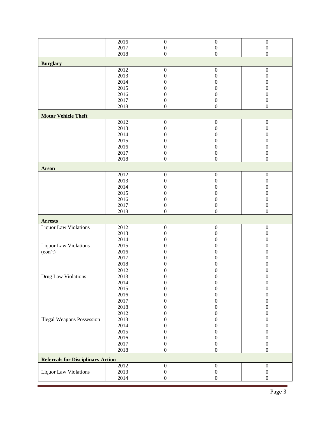|                                          | 2016         | $\boldsymbol{0}$                     | $\boldsymbol{0}$                     | $\boldsymbol{0}$                     |  |  |  |
|------------------------------------------|--------------|--------------------------------------|--------------------------------------|--------------------------------------|--|--|--|
|                                          | 2017         | $\boldsymbol{0}$                     | $\boldsymbol{0}$                     | $\boldsymbol{0}$                     |  |  |  |
|                                          | 2018         | $\boldsymbol{0}$                     | $\boldsymbol{0}$                     | $\boldsymbol{0}$                     |  |  |  |
| <b>Burglary</b>                          |              |                                      |                                      |                                      |  |  |  |
|                                          | 2012         | $\boldsymbol{0}$                     | $\boldsymbol{0}$                     | $\boldsymbol{0}$                     |  |  |  |
|                                          | 2013         | $\boldsymbol{0}$                     | $\boldsymbol{0}$                     | $\boldsymbol{0}$                     |  |  |  |
|                                          | 2014         | $\boldsymbol{0}$                     | $\boldsymbol{0}$                     | $\boldsymbol{0}$                     |  |  |  |
|                                          | 2015         | $\boldsymbol{0}$                     | $\boldsymbol{0}$                     | $\boldsymbol{0}$                     |  |  |  |
|                                          | 2016         | $\boldsymbol{0}$                     | $\boldsymbol{0}$                     | $\boldsymbol{0}$                     |  |  |  |
|                                          | 2017         | $\boldsymbol{0}$                     | $\boldsymbol{0}$                     | $\boldsymbol{0}$                     |  |  |  |
|                                          | 2018         | $\mathbf{0}$                         | $\boldsymbol{0}$                     | $\mathbf{0}$                         |  |  |  |
| <b>Motor Vehicle Theft</b>               |              |                                      |                                      |                                      |  |  |  |
|                                          | 2012         | $\boldsymbol{0}$                     | $\boldsymbol{0}$                     | $\boldsymbol{0}$                     |  |  |  |
|                                          | 2013         | $\boldsymbol{0}$                     | $\boldsymbol{0}$                     | $\boldsymbol{0}$                     |  |  |  |
|                                          | 2014         | $\theta$                             | $\overline{0}$                       | $\overline{0}$                       |  |  |  |
|                                          | 2015         | $\theta$                             | $\overline{0}$                       | $\boldsymbol{0}$                     |  |  |  |
|                                          | 2016         | $\boldsymbol{0}$                     | 0                                    | $\boldsymbol{0}$                     |  |  |  |
|                                          | 2017         | $\boldsymbol{0}$                     | $\boldsymbol{0}$                     | $\boldsymbol{0}$                     |  |  |  |
|                                          | 2018         | $\boldsymbol{0}$                     | $\boldsymbol{0}$                     | $\boldsymbol{0}$                     |  |  |  |
| <b>Arson</b>                             |              |                                      |                                      |                                      |  |  |  |
|                                          | 2012         | $\boldsymbol{0}$                     | $\boldsymbol{0}$                     | $\boldsymbol{0}$                     |  |  |  |
|                                          | 2013         | $\boldsymbol{0}$                     | $\boldsymbol{0}$                     | $\boldsymbol{0}$                     |  |  |  |
|                                          | 2014         | $\boldsymbol{0}$                     | $\boldsymbol{0}$                     | $\boldsymbol{0}$                     |  |  |  |
|                                          | 2015         | $\boldsymbol{0}$                     | $\boldsymbol{0}$                     | $\boldsymbol{0}$                     |  |  |  |
|                                          | 2016         | $\boldsymbol{0}$                     | $\boldsymbol{0}$                     | $\boldsymbol{0}$                     |  |  |  |
|                                          | 2017         | $\boldsymbol{0}$                     | $\boldsymbol{0}$                     | $\boldsymbol{0}$                     |  |  |  |
|                                          | 2018         | $\mathbf{0}$                         | $\boldsymbol{0}$                     | $\boldsymbol{0}$                     |  |  |  |
| <b>Arrests</b>                           |              |                                      |                                      |                                      |  |  |  |
| Liquor Law Violations                    | 2012         | $\boldsymbol{0}$                     | $\boldsymbol{0}$                     | $\boldsymbol{0}$                     |  |  |  |
|                                          | 2013         | $\boldsymbol{0}$                     | $\boldsymbol{0}$                     | $\boldsymbol{0}$                     |  |  |  |
|                                          | 2014         | 0                                    | $\overline{0}$                       | 0                                    |  |  |  |
| Liquor Law Violations                    | 2015         | $\theta$                             | 0                                    | 0                                    |  |  |  |
| (con't)                                  | 2016         | 0                                    | $\overline{0}$                       | 0                                    |  |  |  |
|                                          | 2017         | $\boldsymbol{0}$                     | $\boldsymbol{0}$                     | $\boldsymbol{0}$                     |  |  |  |
|                                          | 2018         | $\boldsymbol{0}$                     | $\boldsymbol{0}$                     | 0                                    |  |  |  |
|                                          | 2012         | $\boldsymbol{0}$                     | $\boldsymbol{0}$                     | $\boldsymbol{0}$                     |  |  |  |
| Drug Law Violations                      | 2013         | $\boldsymbol{0}$<br>$\boldsymbol{0}$ | $\boldsymbol{0}$<br>$\boldsymbol{0}$ | $\boldsymbol{0}$<br>$\boldsymbol{0}$ |  |  |  |
|                                          | 2014<br>2015 | $\boldsymbol{0}$                     | $\boldsymbol{0}$                     | 0                                    |  |  |  |
|                                          | 2016         | $\boldsymbol{0}$                     | $\boldsymbol{0}$                     | 0                                    |  |  |  |
|                                          | 2017         | $\boldsymbol{0}$                     | $\boldsymbol{0}$                     | $\boldsymbol{0}$                     |  |  |  |
|                                          | 2018         | $\boldsymbol{0}$                     | $\boldsymbol{0}$                     | $\boldsymbol{0}$                     |  |  |  |
|                                          | 2012         | $\boldsymbol{0}$                     | $\boldsymbol{0}$                     | $\overline{0}$                       |  |  |  |
| <b>Illegal Weapons Possession</b>        | 2013         | $\boldsymbol{0}$                     | $\boldsymbol{0}$                     | $\boldsymbol{0}$                     |  |  |  |
|                                          | 2014         | $\boldsymbol{0}$                     | 0                                    | $\boldsymbol{0}$                     |  |  |  |
|                                          | 2015         | $\theta$                             | 0                                    | $\boldsymbol{0}$                     |  |  |  |
|                                          | 2016         | $\theta$                             | 0                                    | $\boldsymbol{0}$                     |  |  |  |
|                                          | 2017         | $\boldsymbol{0}$                     | $\boldsymbol{0}$                     | $\boldsymbol{0}$                     |  |  |  |
|                                          | 2018         | $\boldsymbol{0}$                     | $\boldsymbol{0}$                     | $\boldsymbol{0}$                     |  |  |  |
| <b>Referrals for Disciplinary Action</b> |              |                                      |                                      |                                      |  |  |  |
|                                          | 2012         | $\boldsymbol{0}$                     | $\boldsymbol{0}$                     | $\boldsymbol{0}$                     |  |  |  |
| Liquor Law Violations                    | 2013         | $\boldsymbol{0}$                     | $\boldsymbol{0}$                     | $\boldsymbol{0}$                     |  |  |  |
|                                          | 2014         | $\boldsymbol{0}$                     | $\boldsymbol{0}$                     | $\boldsymbol{0}$                     |  |  |  |
|                                          |              |                                      |                                      |                                      |  |  |  |